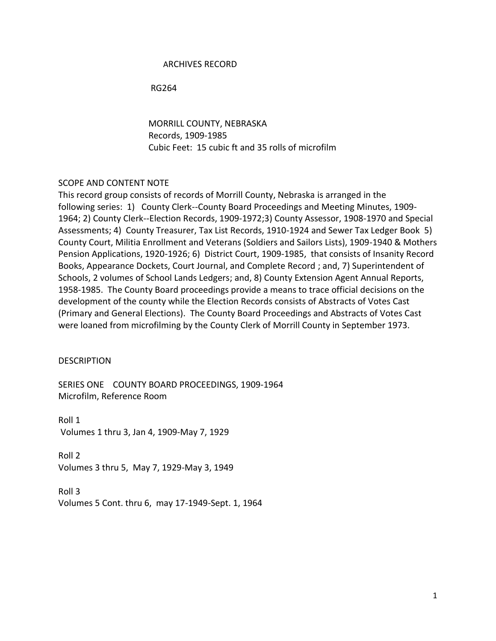### ARCHIVES RECORD

RG264

 MORRILL COUNTY, NEBRASKA Records, 1909-1985 Cubic Feet: 15 cubic ft and 35 rolls of microfilm

### SCOPE AND CONTENT NOTE

This record group consists of records of Morrill County, Nebraska is arranged in the following series: 1) County Clerk--County Board Proceedings and Meeting Minutes, 1909- 1964; 2) County Clerk--Election Records, 1909-1972;3) County Assessor, 1908-1970 and Special Assessments; 4) County Treasurer, Tax List Records, 1910-1924 and Sewer Tax Ledger Book 5) County Court, Militia Enrollment and Veterans (Soldiers and Sailors Lists), 1909-1940 & Mothers Pension Applications, 1920-1926; 6) District Court, 1909-1985, that consists of Insanity Record Books, Appearance Dockets, Court Journal, and Complete Record ; and, 7) Superintendent of Schools, 2 volumes of School Lands Ledgers; and, 8) County Extension Agent Annual Reports, 1958-1985. The County Board proceedings provide a means to trace official decisions on the development of the county while the Election Records consists of Abstracts of Votes Cast (Primary and General Elections). The County Board Proceedings and Abstracts of Votes Cast were loaned from microfilming by the County Clerk of Morrill County in September 1973.

#### **DESCRIPTION**

SERIES ONE COUNTY BOARD PROCEEDINGS, 1909-1964 Microfilm, Reference Room

Roll 1 Volumes 1 thru 3, Jan 4, 1909-May 7, 1929

Roll 2 Volumes 3 thru 5, May 7, 1929-May 3, 1949

Roll 3 Volumes 5 Cont. thru 6, may 17-1949-Sept. 1, 1964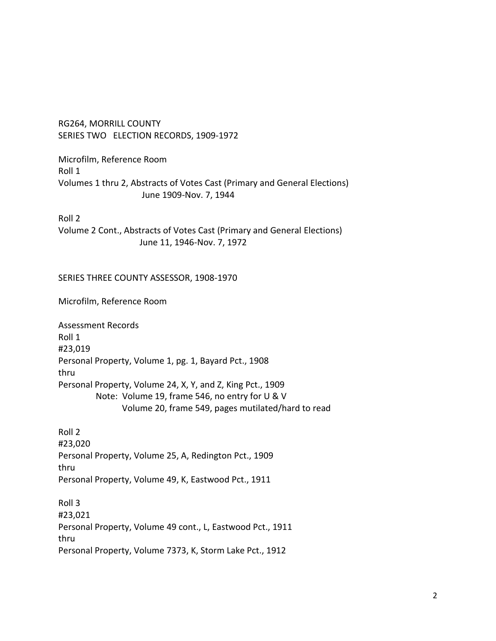RG264, MORRILL COUNTY SERIES TWO ELECTION RECORDS, 1909-1972

Microfilm, Reference Room Roll 1 Volumes 1 thru 2, Abstracts of Votes Cast (Primary and General Elections) June 1909-Nov. 7, 1944

Roll 2

Volume 2 Cont., Abstracts of Votes Cast (Primary and General Elections) June 11, 1946-Nov. 7, 1972

## SERIES THREE COUNTY ASSESSOR, 1908-1970

Microfilm, Reference Room

Assessment Records Roll 1 #23,019 Personal Property, Volume 1, pg. 1, Bayard Pct., 1908 thru Personal Property, Volume 24, X, Y, and Z, King Pct., 1909 Note: Volume 19, frame 546, no entry for U & V Volume 20, frame 549, pages mutilated/hard to read

Roll 2 #23,020 Personal Property, Volume 25, A, Redington Pct., 1909 thru Personal Property, Volume 49, K, Eastwood Pct., 1911

Roll 3 #23,021 Personal Property, Volume 49 cont., L, Eastwood Pct., 1911 thru Personal Property, Volume 7373, K, Storm Lake Pct., 1912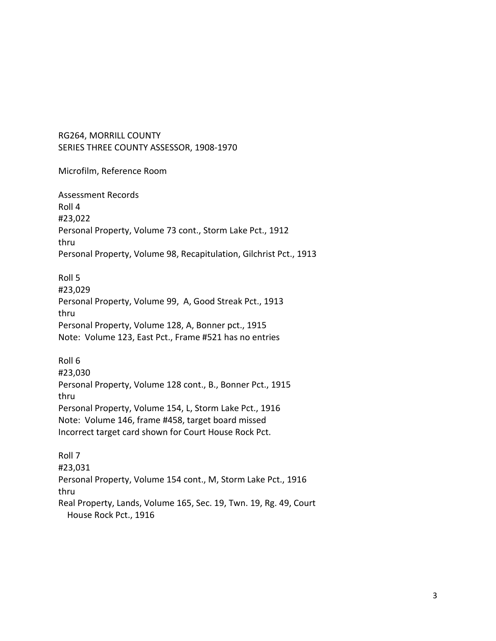Microfilm, Reference Room

Assessment Records Roll 4 #23,022 Personal Property, Volume 73 cont., Storm Lake Pct., 1912 thru Personal Property, Volume 98, Recapitulation, Gilchrist Pct., 1913

Roll 5 #23,029 Personal Property, Volume 99, A, Good Streak Pct., 1913 thru Personal Property, Volume 128, A, Bonner pct., 1915 Note: Volume 123, East Pct., Frame #521 has no entries

Roll 6 #23,030 Personal Property, Volume 128 cont., B., Bonner Pct., 1915 thru Personal Property, Volume 154, L, Storm Lake Pct., 1916 Note: Volume 146, frame #458, target board missed Incorrect target card shown for Court House Rock Pct.

Roll 7 #23,031 Personal Property, Volume 154 cont., M, Storm Lake Pct., 1916 thru Real Property, Lands, Volume 165, Sec. 19, Twn. 19, Rg. 49, Court House Rock Pct., 1916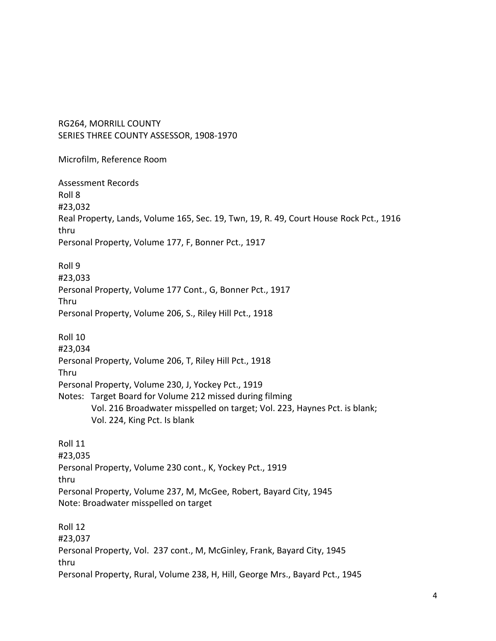Microfilm, Reference Room

Assessment Records Roll 8 #23,032 Real Property, Lands, Volume 165, Sec. 19, Twn, 19, R. 49, Court House Rock Pct., 1916 thru Personal Property, Volume 177, F, Bonner Pct., 1917

Roll 9 #23,033 Personal Property, Volume 177 Cont., G, Bonner Pct., 1917 Thru Personal Property, Volume 206, S., Riley Hill Pct., 1918

Roll 10 #23,034 Personal Property, Volume 206, T, Riley Hill Pct., 1918 Thru Personal Property, Volume 230, J, Yockey Pct., 1919 Notes: Target Board for Volume 212 missed during filming Vol. 216 Broadwater misspelled on target; Vol. 223, Haynes Pct. is blank; Vol. 224, King Pct. Is blank

Roll 11 #23,035 Personal Property, Volume 230 cont., K, Yockey Pct., 1919 thru Personal Property, Volume 237, M, McGee, Robert, Bayard City, 1945 Note: Broadwater misspelled on target

Roll 12 #23,037 Personal Property, Vol. 237 cont., M, McGinley, Frank, Bayard City, 1945 thru Personal Property, Rural, Volume 238, H, Hill, George Mrs., Bayard Pct., 1945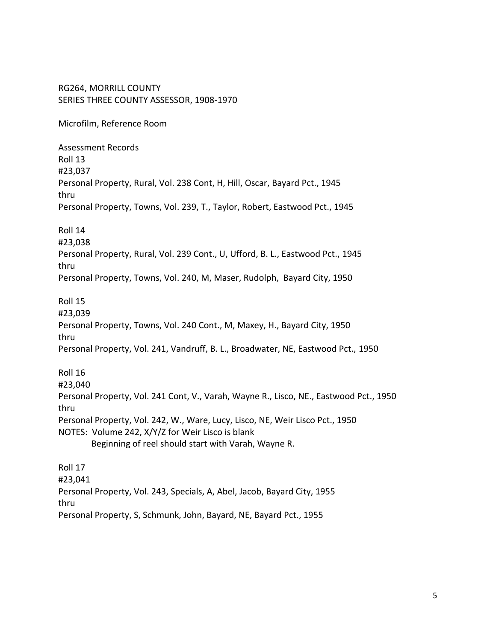Microfilm, Reference Room

Assessment Records Roll 13 #23,037 Personal Property, Rural, Vol. 238 Cont, H, Hill, Oscar, Bayard Pct., 1945 thru Personal Property, Towns, Vol. 239, T., Taylor, Robert, Eastwood Pct., 1945

Roll 14

#23,038

Personal Property, Rural, Vol. 239 Cont., U, Ufford, B. L., Eastwood Pct., 1945 thru

Personal Property, Towns, Vol. 240, M, Maser, Rudolph, Bayard City, 1950

Roll 15

#23,039 Personal Property, Towns, Vol. 240 Cont., M, Maxey, H., Bayard City, 1950 thru Personal Property, Vol. 241, Vandruff, B. L., Broadwater, NE, Eastwood Pct., 1950

Roll 16 #23,040 Personal Property, Vol. 241 Cont, V., Varah, Wayne R., Lisco, NE., Eastwood Pct., 1950 thru Personal Property, Vol. 242, W., Ware, Lucy, Lisco, NE, Weir Lisco Pct., 1950 NOTES: Volume 242, X/Y/Z for Weir Lisco is blank Beginning of reel should start with Varah, Wayne R.

Roll 17 #23,041 Personal Property, Vol. 243, Specials, A, Abel, Jacob, Bayard City, 1955 thru Personal Property, S, Schmunk, John, Bayard, NE, Bayard Pct., 1955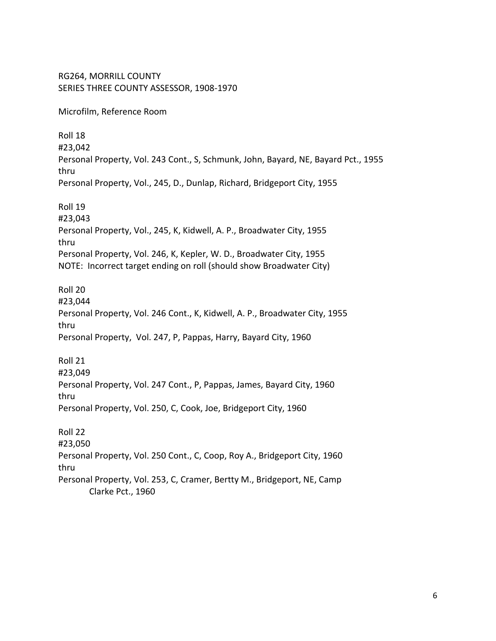RG264, MORRILL COUNTY SERIES THREE COUNTY ASSESSOR, 1908-1970 Microfilm, Reference Room Roll 18 #23,042 Personal Property, Vol. 243 Cont., S, Schmunk, John, Bayard, NE, Bayard Pct., 1955 thru Personal Property, Vol., 245, D., Dunlap, Richard, Bridgeport City, 1955 Roll 19 #23,043 Personal Property, Vol., 245, K, Kidwell, A. P., Broadwater City, 1955 thru Personal Property, Vol. 246, K, Kepler, W. D., Broadwater City, 1955 NOTE: Incorrect target ending on roll (should show Broadwater City) Roll 20 #23,044 Personal Property, Vol. 246 Cont., K, Kidwell, A. P., Broadwater City, 1955 thru Personal Property, Vol. 247, P, Pappas, Harry, Bayard City, 1960 Roll 21 #23,049 Personal Property, Vol. 247 Cont., P, Pappas, James, Bayard City, 1960 thru Personal Property, Vol. 250, C, Cook, Joe, Bridgeport City, 1960 Roll 22 #23,050 Personal Property, Vol. 250 Cont., C, Coop, Roy A., Bridgeport City, 1960 thru Personal Property, Vol. 253, C, Cramer, Bertty M., Bridgeport, NE, Camp Clarke Pct., 1960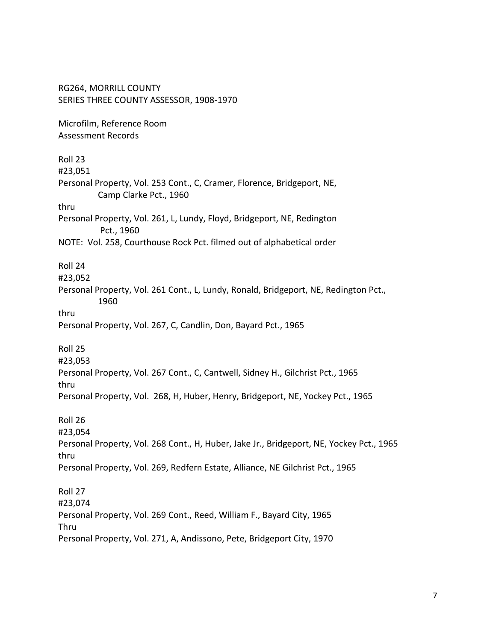RG264, MORRILL COUNTY SERIES THREE COUNTY ASSESSOR, 1908-1970 Microfilm, Reference Room Assessment Records Roll 23 #23,051 Personal Property, Vol. 253 Cont., C, Cramer, Florence, Bridgeport, NE, Camp Clarke Pct., 1960 thru Personal Property, Vol. 261, L, Lundy, Floyd, Bridgeport, NE, Redington Pct., 1960 NOTE: Vol. 258, Courthouse Rock Pct. filmed out of alphabetical order Roll 24 #23,052 Personal Property, Vol. 261 Cont., L, Lundy, Ronald, Bridgeport, NE, Redington Pct., 1960 thru Personal Property, Vol. 267, C, Candlin, Don, Bayard Pct., 1965 Roll 25 #23,053 Personal Property, Vol. 267 Cont., C, Cantwell, Sidney H., Gilchrist Pct., 1965 thru Personal Property, Vol. 268, H, Huber, Henry, Bridgeport, NE, Yockey Pct., 1965 Roll 26 #23,054 Personal Property, Vol. 268 Cont., H, Huber, Jake Jr., Bridgeport, NE, Yockey Pct., 1965 thru Personal Property, Vol. 269, Redfern Estate, Alliance, NE Gilchrist Pct., 1965 Roll 27 #23,074 Personal Property, Vol. 269 Cont., Reed, William F., Bayard City, 1965 Thru Personal Property, Vol. 271, A, Andissono, Pete, Bridgeport City, 1970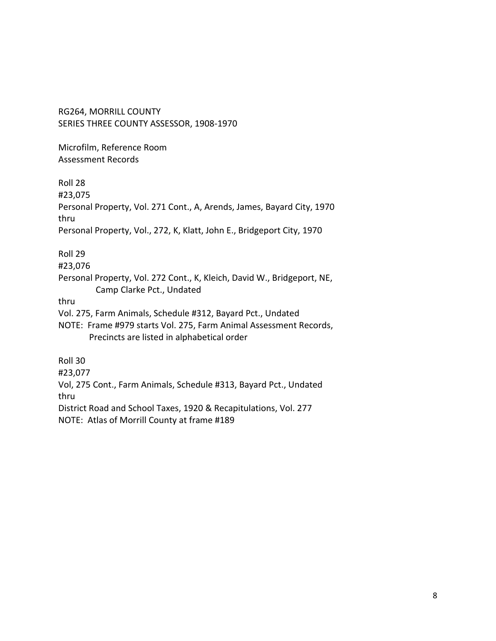Microfilm, Reference Room Assessment Records

Roll 28

#23,075

Personal Property, Vol. 271 Cont., A, Arends, James, Bayard City, 1970 thru

Personal Property, Vol., 272, K, Klatt, John E., Bridgeport City, 1970

Roll 29

#23,076

Personal Property, Vol. 272 Cont., K, Kleich, David W., Bridgeport, NE, Camp Clarke Pct., Undated

thru

- Vol. 275, Farm Animals, Schedule #312, Bayard Pct., Undated
- NOTE: Frame #979 starts Vol. 275, Farm Animal Assessment Records, Precincts are listed in alphabetical order

Roll 30

#23,077

Vol, 275 Cont., Farm Animals, Schedule #313, Bayard Pct., Undated thru

District Road and School Taxes, 1920 & Recapitulations, Vol. 277

NOTE: Atlas of Morrill County at frame #189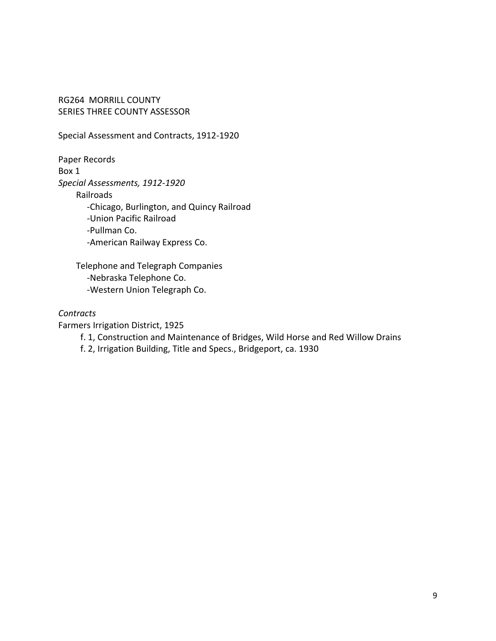Special Assessment and Contracts, 1912-1920

Paper Records Box 1 *Special Assessments, 1912-1920* Railroads -Chicago, Burlington, and Quincy Railroad -Union Pacific Railroad -Pullman Co. -American Railway Express Co.

 Telephone and Telegraph Companies -Nebraska Telephone Co. -Western Union Telegraph Co.

## *Contracts*

Farmers Irrigation District, 1925

f. 1, Construction and Maintenance of Bridges, Wild Horse and Red Willow Drains

f. 2, Irrigation Building, Title and Specs., Bridgeport, ca. 1930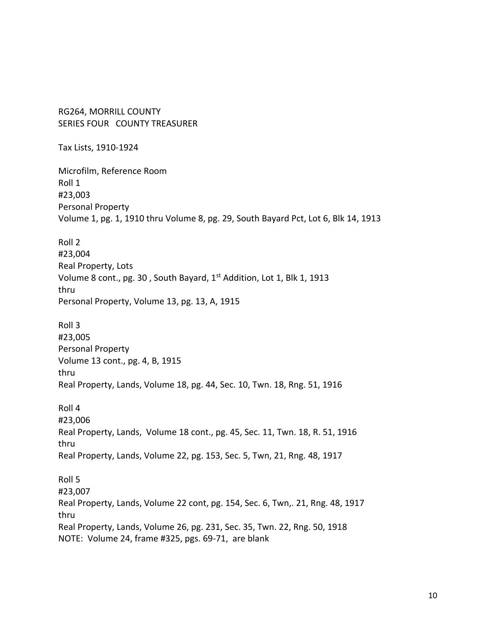RG264, MORRILL COUNTY SERIES FOUR COUNTY TREASURER

Tax Lists, 1910-1924

Microfilm, Reference Room Roll 1 #23,003 Personal Property Volume 1, pg. 1, 1910 thru Volume 8, pg. 29, South Bayard Pct, Lot 6, Blk 14, 1913

Roll 2 #23,004 Real Property, Lots Volume 8 cont., pg. 30, South Bayard, 1<sup>st</sup> Addition, Lot 1, Blk 1, 1913 thru Personal Property, Volume 13, pg. 13, A, 1915

Roll 3 #23,005 Personal Property Volume 13 cont., pg. 4, B, 1915 thru Real Property, Lands, Volume 18, pg. 44, Sec. 10, Twn. 18, Rng. 51, 1916

Roll 4 #23,006 Real Property, Lands, Volume 18 cont., pg. 45, Sec. 11, Twn. 18, R. 51, 1916 thru Real Property, Lands, Volume 22, pg. 153, Sec. 5, Twn, 21, Rng. 48, 1917 Roll 5 #23,007

Real Property, Lands, Volume 22 cont, pg. 154, Sec. 6, Twn,. 21, Rng. 48, 1917 thru Real Property, Lands, Volume 26, pg. 231, Sec. 35, Twn. 22, Rng. 50, 1918 NOTE: Volume 24, frame #325, pgs. 69-71, are blank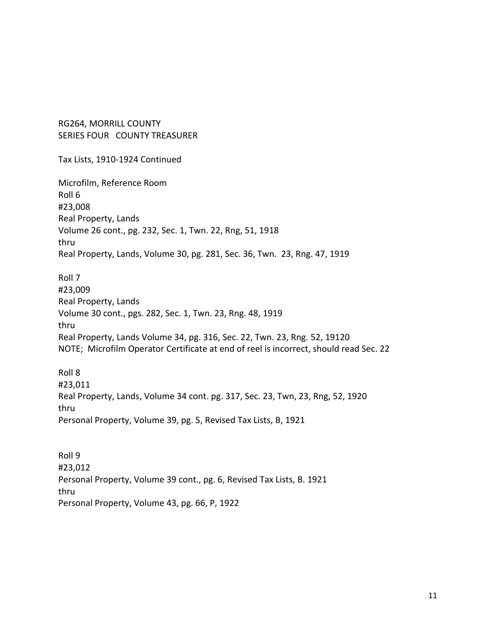RG264, MORRILL COUNTY SERIES FOUR COUNTY TREASURER

Tax Lists, 1910-1924 Continued

Microfilm, Reference Room Roll 6 #23,008 Real Property, Lands Volume 26 cont., pg. 232, Sec. 1, Twn. 22, Rng, 51, 1918 thru Real Property, Lands, Volume 30, pg. 281, Sec. 36, Twn. 23, Rng. 47, 1919

Roll 7 #23,009 Real Property, Lands Volume 30 cont., pgs. 282, Sec. 1, Twn. 23, Rng. 48, 1919 thru Real Property, Lands Volume 34, pg. 316, Sec. 22, Twn. 23, Rng. 52, 19120 NOTE; Microfilm Operator Certificate at end of reel is incorrect, should read Sec. 22

Roll 8 #23,011 Real Property, Lands, Volume 34 cont. pg. 317, Sec. 23, Twn, 23, Rng, 52, 1920 thru Personal Property, Volume 39, pg. 5, Revised Tax Lists, B, 1921

Roll 9 #23,012 Personal Property, Volume 39 cont., pg. 6, Revised Tax Lists, B. 1921 thru Personal Property, Volume 43, pg. 66, P, 1922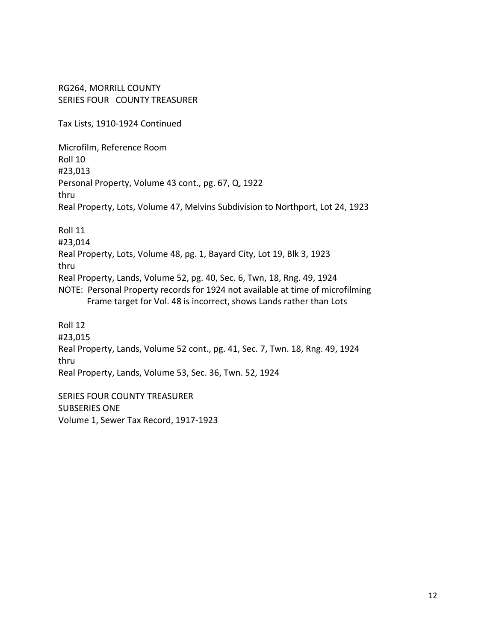RG264, MORRILL COUNTY SERIES FOUR COUNTY TREASURER

Tax Lists, 1910-1924 Continued

Microfilm, Reference Room Roll 10 #23,013 Personal Property, Volume 43 cont., pg. 67, Q, 1922 thru Real Property, Lots, Volume 47, Melvins Subdivision to Northport, Lot 24, 1923 Roll 11

#23,014 Real Property, Lots, Volume 48, pg. 1, Bayard City, Lot 19, Blk 3, 1923 thru Real Property, Lands, Volume 52, pg. 40, Sec. 6, Twn, 18, Rng. 49, 1924 NOTE: Personal Property records for 1924 not available at time of microfilming Frame target for Vol. 48 is incorrect, shows Lands rather than Lots

Roll 12 #23,015 Real Property, Lands, Volume 52 cont., pg. 41, Sec. 7, Twn. 18, Rng. 49, 1924 thru Real Property, Lands, Volume 53, Sec. 36, Twn. 52, 1924

SERIES FOUR COUNTY TREASURER SUBSERIES ONE Volume 1, Sewer Tax Record, 1917-1923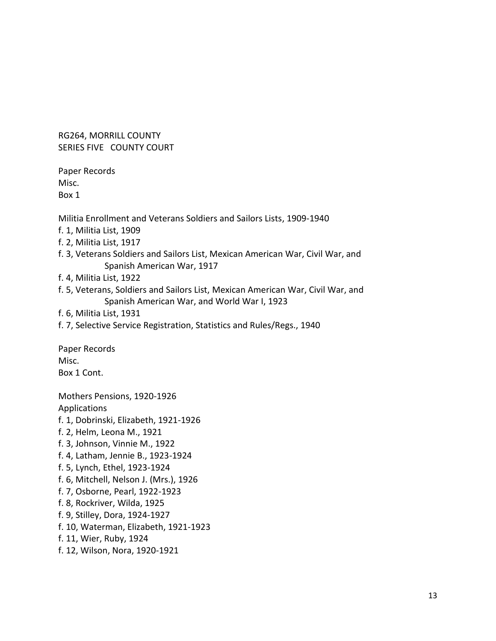RG264, MORRILL COUNTY SERIES FIVE COUNTY COURT

Paper Records Misc. Box 1

Militia Enrollment and Veterans Soldiers and Sailors Lists, 1909-1940

- f. 1, Militia List, 1909
- f. 2, Militia List, 1917
- f. 3, Veterans Soldiers and Sailors List, Mexican American War, Civil War, and Spanish American War, 1917
- f. 4, Militia List, 1922
- f. 5, Veterans, Soldiers and Sailors List, Mexican American War, Civil War, and Spanish American War, and World War I, 1923
- f. 6, Militia List, 1931
- f. 7, Selective Service Registration, Statistics and Rules/Regs., 1940

Paper Records Misc. Box 1 Cont.

Mothers Pensions, 1920-1926 Applications f. 1, Dobrinski, Elizabeth, 1921-1926 f. 2, Helm, Leona M., 1921 f. 3, Johnson, Vinnie M., 1922 f. 4, Latham, Jennie B., 1923-1924 f. 5, Lynch, Ethel, 1923-1924 f. 6, Mitchell, Nelson J. (Mrs.), 1926 f. 7, Osborne, Pearl, 1922-1923 f. 8, Rockriver, Wilda, 1925 f. 9, Stilley, Dora, 1924-1927 f. 10, Waterman, Elizabeth, 1921-1923 f. 11, Wier, Ruby, 1924

f. 12, Wilson, Nora, 1920-1921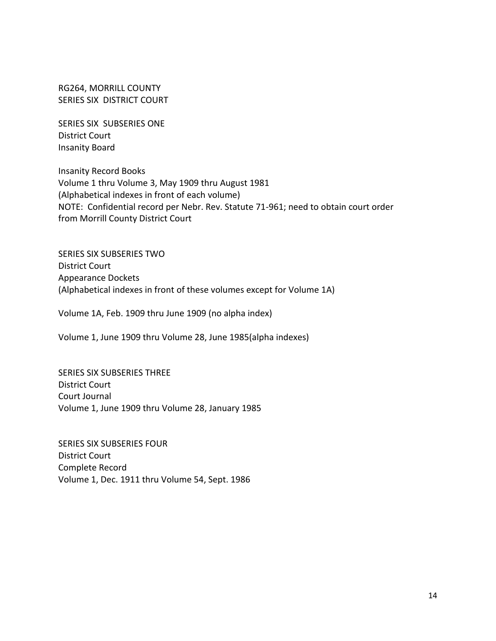RG264, MORRILL COUNTY SERIES SIX DISTRICT COURT

SERIES SIX SUBSERIES ONE District Court Insanity Board

Insanity Record Books Volume 1 thru Volume 3, May 1909 thru August 1981 (Alphabetical indexes in front of each volume) NOTE: Confidential record per Nebr. Rev. Statute 71-961; need to obtain court order from Morrill County District Court

SERIES SIX SUBSERIES TWO District Court Appearance Dockets (Alphabetical indexes in front of these volumes except for Volume 1A)

Volume 1A, Feb. 1909 thru June 1909 (no alpha index)

Volume 1, June 1909 thru Volume 28, June 1985(alpha indexes)

SERIES SIX SUBSERIES THREE District Court Court Journal Volume 1, June 1909 thru Volume 28, January 1985

SERIES SIX SUBSERIES FOUR District Court Complete Record Volume 1, Dec. 1911 thru Volume 54, Sept. 1986